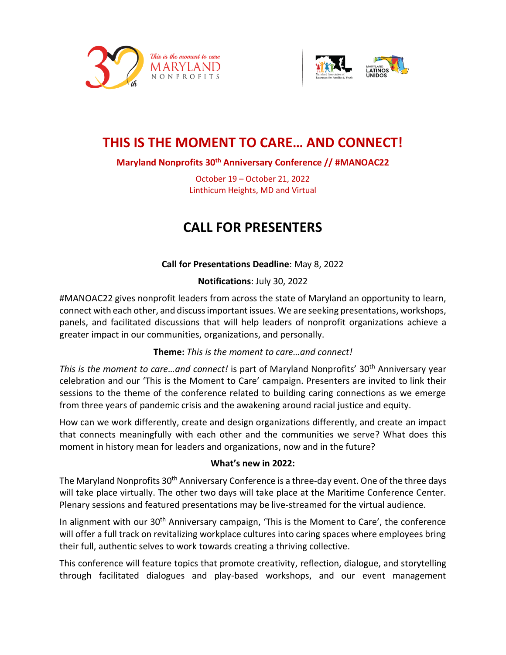



## **THIS IS THE MOMENT TO CARE… AND CONNECT!**

## **Maryland Nonprofits 30th Anniversary Conference // #MANOAC22**

October 19 – October 21, 2022 Linthicum Heights, MD and Virtual

# **CALL FOR PRESENTERS**

## **Call for Presentations Deadline**: May 8, 2022

#### **Notifications**: July 30, 2022

#MANOAC22 gives nonprofit leaders from across the state of Maryland an opportunity to learn, connect with each other, and discuss important issues. We are seeking presentations, workshops, panels, and facilitated discussions that will help leaders of nonprofit organizations achieve a greater impact in our communities, organizations, and personally.

#### **Theme:** *This is the moment to care…and connect!*

*This is the moment to care…and connect!* is part of Maryland Nonprofits' 30th Anniversary year celebration and our 'This is the Moment to Care' campaign. Presenters are invited to link their sessions to the theme of the conference related to building caring connections as we emerge from three years of pandemic crisis and the awakening around racial justice and equity.

How can we work differently, create and design organizations differently, and create an impact that connects meaningfully with each other and the communities we serve? What does this moment in history mean for leaders and organizations, now and in the future?

#### **What's new in 2022:**

The Maryland Nonprofits 30<sup>th</sup> Anniversary Conference is a three-day event. One of the three days will take place virtually. The other two days will take place at the Maritime Conference Center. Plenary sessions and featured presentations may be live-streamed for the virtual audience.

In alignment with our 30<sup>th</sup> Anniversary campaign, 'This is the Moment to Care', the conference will offer a full track on revitalizing workplace cultures into caring spaces where employees bring their full, authentic selves to work towards creating a thriving collective.

This conference will feature topics that promote creativity, reflection, dialogue, and storytelling through facilitated dialogues and play-based workshops, and our event management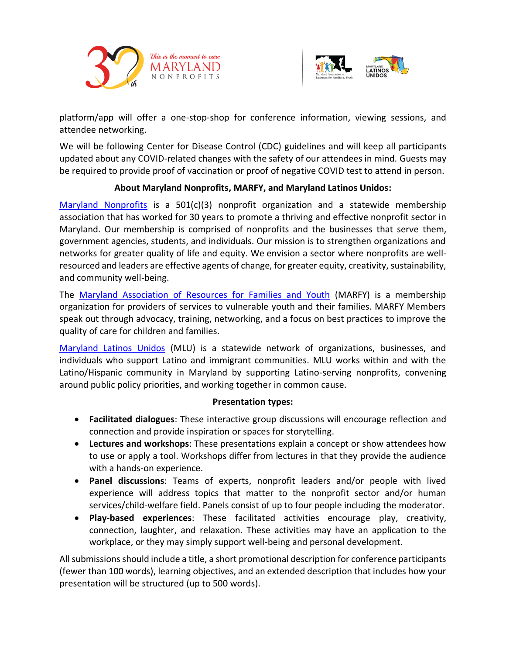



platform/app will offer a one-stop-shop for conference information, viewing sessions, and attendee networking.

We will be following Center for Disease Control (CDC) guidelines and will keep all participants updated about any COVID-related changes with the safety of our attendees in mind. Guests may be required to provide proof of vaccination or proof of negative COVID test to attend in person.

## **About Maryland Nonprofits, MARFY, and Maryland Latinos Unidos:**

[Maryland Nonprofits](https://www.marylandnonprofits.org/about-maryland-nonprofits/) is a  $501(c)(3)$  nonprofit organization and a statewide membership association that has worked for 30 years to promote a thriving and effective nonprofit sector in Maryland. Our membership is comprised of nonprofits and the businesses that serve them, government agencies, students, and individuals. Our mission is to strengthen organizations and networks for greater quality of life and equity. We envision a sector where nonprofits are wellresourced and leaders are effective agents of change, for greater equity, creativity, sustainability, and community well-being.

The [Maryland Association of Resources for Families and Youth](https://www.marylandnonprofits.org/what-we-offer/marfy/) (MARFY) is a membership organization for providers of services to vulnerable youth and their families. MARFY Members speak out through advocacy, training, networking, and a focus on best practices to improve the quality of care for children and families.

[Maryland Latinos Unidos](https://www.marylandnonprofits.org/maryland-latinos-unidos-en/) (MLU) is a statewide network of organizations, businesses, and individuals who support Latino and immigrant communities. MLU works within and with the Latino/Hispanic community in Maryland by supporting Latino-serving nonprofits, convening around public policy priorities, and working together in common cause.

## **Presentation types:**

- **Facilitated dialogues**: These interactive group discussions will encourage reflection and connection and provide inspiration or spaces for storytelling.
- **Lectures and workshops**: These presentations explain a concept or show attendees how to use or apply a tool. Workshops differ from lectures in that they provide the audience with a hands-on experience.
- **Panel discussions**: Teams of experts, nonprofit leaders and/or people with lived experience will address topics that matter to the nonprofit sector and/or human services/child-welfare field. Panels consist of up to four people including the moderator.
- **Play-based experiences**: These facilitated activities encourage play, creativity, connection, laughter, and relaxation. These activities may have an application to the workplace, or they may simply support well-being and personal development.

All submissions should include a title, a short promotional description for conference participants (fewer than 100 words), learning objectives, and an extended description that includes how your presentation will be structured (up to 500 words).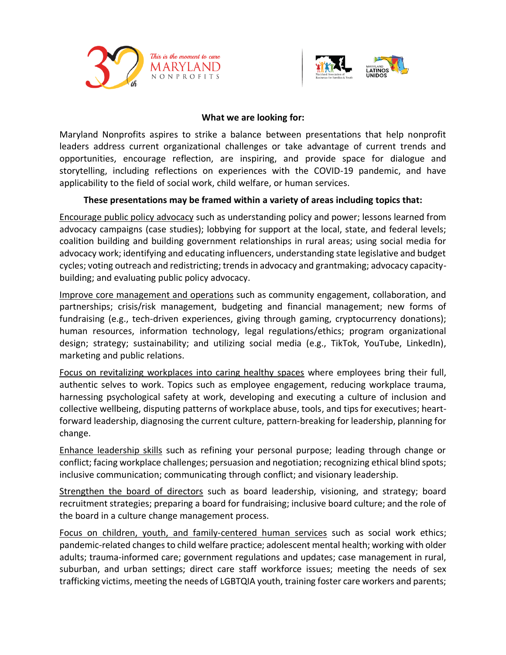



#### **What we are looking for:**

Maryland Nonprofits aspires to strike a balance between presentations that help nonprofit leaders address current organizational challenges or take advantage of current trends and opportunities, encourage reflection, are inspiring, and provide space for dialogue and storytelling, including reflections on experiences with the COVID-19 pandemic, and have applicability to the field of social work, child welfare, or human services.

## **These presentations may be framed within a variety of areas including topics that:**

Encourage public policy advocacy such as understanding policy and power; lessons learned from advocacy campaigns (case studies); lobbying for support at the local, state, and federal levels; coalition building and building government relationships in rural areas; using social media for advocacy work; identifying and educating influencers, understanding state legislative and budget cycles; voting outreach and redistricting; trends in advocacy and grantmaking; advocacy capacitybuilding; and evaluating public policy advocacy.

Improve core management and operations such as community engagement, collaboration, and partnerships; crisis/risk management, budgeting and financial management; new forms of fundraising (e.g., tech-driven experiences, giving through gaming, cryptocurrency donations); human resources, information technology, legal regulations/ethics; program organizational design; strategy; sustainability; and utilizing social media (e.g., TikTok, YouTube, LinkedIn), marketing and public relations.

Focus on revitalizing workplaces into caring healthy spaces where employees bring their full, authentic selves to work. Topics such as employee engagement, reducing workplace trauma, harnessing psychological safety at work, developing and executing a culture of inclusion and collective wellbeing, disputing patterns of workplace abuse, tools, and tips for executives; heartforward leadership, diagnosing the current culture, pattern-breaking for leadership, planning for change.

Enhance leadership skills such as refining your personal purpose; leading through change or conflict; facing workplace challenges; persuasion and negotiation; recognizing ethical blind spots; inclusive communication; communicating through conflict; and visionary leadership.

Strengthen the board of directors such as board leadership, visioning, and strategy; board recruitment strategies; preparing a board for fundraising; inclusive board culture; and the role of the board in a culture change management process.

Focus on children, youth, and family-centered human services such as social work ethics; pandemic-related changes to child welfare practice; adolescent mental health; working with older adults; trauma-informed care; government regulations and updates; case management in rural, suburban, and urban settings; direct care staff workforce issues; meeting the needs of sex trafficking victims, meeting the needs of LGBTQIA youth, training foster care workers and parents;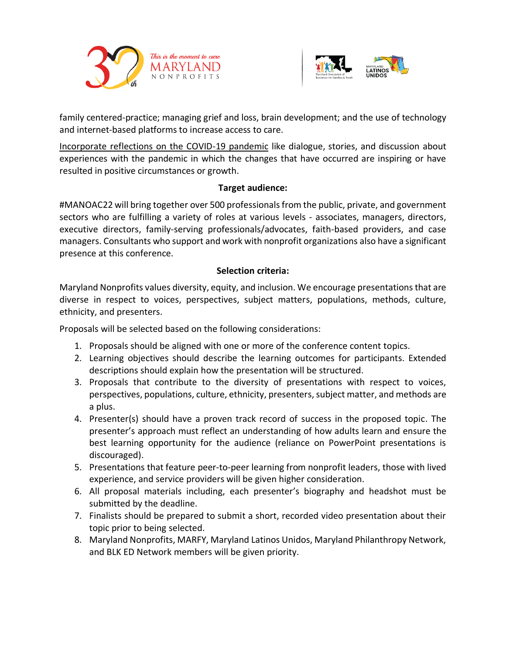



family centered-practice; managing grief and loss, brain development; and the use of technology and internet-based platforms to increase access to care.

Incorporate reflections on the COVID-19 pandemic like dialogue, stories, and discussion about experiences with the pandemic in which the changes that have occurred are inspiring or have resulted in positive circumstances or growth.

#### **Target audience:**

#MANOAC22 will bring together over 500 professionals from the public, private, and government sectors who are fulfilling a variety of roles at various levels - associates, managers, directors, executive directors, family-serving professionals/advocates, faith-based providers, and case managers. Consultants who support and work with nonprofit organizations also have a significant presence at this conference.

## **Selection criteria:**

Maryland Nonprofits values diversity, equity, and inclusion. We encourage presentations that are diverse in respect to voices, perspectives, subject matters, populations, methods, culture, ethnicity, and presenters.

Proposals will be selected based on the following considerations:

- 1. Proposals should be aligned with one or more of the conference content topics.
- 2. Learning objectives should describe the learning outcomes for participants. Extended descriptions should explain how the presentation will be structured.
- 3. Proposals that contribute to the diversity of presentations with respect to voices, perspectives, populations, culture, ethnicity, presenters, subject matter, and methods are a plus.
- 4. Presenter(s) should have a proven track record of success in the proposed topic. The presenter's approach must reflect an understanding of how adults learn and ensure the best learning opportunity for the audience (reliance on PowerPoint presentations is discouraged).
- 5. Presentations that feature peer-to-peer learning from nonprofit leaders, those with lived experience, and service providers will be given higher consideration.
- 6. All proposal materials including, each presenter's biography and headshot must be submitted by the deadline.
- 7. Finalists should be prepared to submit a short, recorded video presentation about their topic prior to being selected.
- 8. Maryland Nonprofits, MARFY, Maryland Latinos Unidos, Maryland Philanthropy Network, and BLK ED Network members will be given priority.